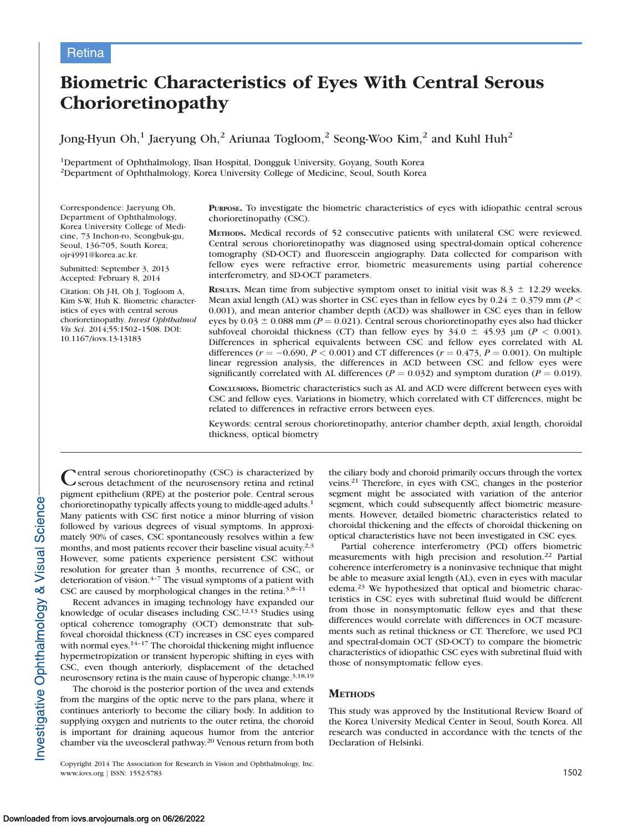# Biometric Characteristics of Eyes With Central Serous Chorioretinopathy

Jong-Hyun Oh,<sup>1</sup> Jaeryung Oh,<sup>2</sup> Ariunaa Togloom,<sup>2</sup> Seong-Woo Kim,<sup>2</sup> and Kuhl Huh<sup>2</sup>

1Department of Ophthalmology, Ilsan Hospital, Dongguk University, Goyang, South Korea 2Department of Ophthalmology, Korea University College of Medicine, Seoul, South Korea

Correspondence: Jaeryung Oh, Department of Ophthalmology, Korea University College of Medicine, 73 Inchon-ro, Seongbuk-gu, Seoul, 136-705, South Korea; ojr4991@korea.ac.kr.

Submitted: September 3, 2013 Accepted: February 8, 2014

Citation: Oh J-H, Oh J, Togloom A, Kim S-W, Huh K. Biometric characteristics of eyes with central serous chorioretinopathy. Invest Ophthalmol Vis Sci. 2014;55:1502–1508. DOI: 10.1167/iovs.13-13183

PURPOSE. To investigate the biometric characteristics of eyes with idiopathic central serous chorioretinopathy (CSC).

METHODS. Medical records of 52 consecutive patients with unilateral CSC were reviewed. Central serous chorioretinopathy was diagnosed using spectral-domain optical coherence tomography (SD-OCT) and fluorescein angiography. Data collected for comparison with fellow eyes were refractive error, biometric measurements using partial coherence interferometry, and SD-OCT parameters.

**RESULTS.** Mean time from subjective symptom onset to initial visit was 8.3  $\pm$  12.29 weeks. Mean axial length (AL) was shorter in CSC eyes than in fellow eyes by 0.24  $\pm$  0.379 mm (P < 0.001), and mean anterior chamber depth (ACD) was shallower in CSC eyes than in fellow eyes by  $0.03 \pm 0.088$  mm ( $P = 0.021$ ). Central serous chorioretinopathy eyes also had thicker subfoveal choroidal thickness (CT) than fellow eyes by  $34.0 \pm 45.93$  µm (P < 0.001). Differences in spherical equivalents between CSC and fellow eyes correlated with AL differences ( $r = -0.690, P < 0.001$ ) and CT differences ( $r = 0.473, P = 0.001$ ). On multiple linear regression analysis, the differences in ACD between CSC and fellow eyes were significantly correlated with AL differences ( $P = 0.032$ ) and symptom duration ( $P = 0.019$ ).

CONCLUSIONS. Biometric characteristics such as AL and ACD were different between eyes with CSC and fellow eyes. Variations in biometry, which correlated with CT differences, might be related to differences in refractive errors between eyes.

Keywords: central serous chorioretinopathy, anterior chamber depth, axial length, choroidal thickness, optical biometry

Central serous chorioretinopathy (CSC) is characterized by serous detachment of the neurosensory retina and retinal pigment epithelium (RPE) at the posterior pole. Central serous chorioretinopathy typically affects young to middle-aged adults.1 Many patients with CSC first notice a minor blurring of vision followed by various degrees of visual symptoms. In approximately 90% of cases, CSC spontaneously resolves within a few months, and most patients recover their baseline visual acuity.<sup>2,3</sup> However, some patients experience persistent CSC without resolution for greater than 3 months, recurrence of CSC, or deterioration of vision. $4-7$  The visual symptoms of a patient with CSC are caused by morphological changes in the retina.<sup>3,8-11</sup>

Recent advances in imaging technology have expanded our knowledge of ocular diseases including  $CSC$ .<sup>12,13</sup> Studies using optical coherence tomography (OCT) demonstrate that subfoveal choroidal thickness (CT) increases in CSC eyes compared with normal eyes.<sup>14-17</sup> The choroidal thickening might influence hypermetropization or transient hyperopic shifting in eyes with CSC, even though anteriorly, displacement of the detached neurosensory retina is the main cause of hyperopic change.3,18,19

The choroid is the posterior portion of the uvea and extends from the margins of the optic nerve to the pars plana, where it continues anteriorly to become the ciliary body. In addition to supplying oxygen and nutrients to the outer retina, the choroid is important for draining aqueous humor from the anterior chamber via the uveoscleral pathway.20 Venous return from both

Copyright 2014 The Association for Research in Vision and Ophthalmology, Inc. www.iovs.org | ISSN: 1552-5783 1502

the ciliary body and choroid primarily occurs through the vortex veins.21 Therefore, in eyes with CSC, changes in the posterior segment might be associated with variation of the anterior segment, which could subsequently affect biometric measurements. However, detailed biometric characteristics related to choroidal thickening and the effects of choroidal thickening on optical characteristics have not been investigated in CSC eyes.

Partial coherence interferometry (PCI) offers biometric measurements with high precision and resolution.<sup>22</sup> Partial coherence interferometry is a noninvasive technique that might be able to measure axial length (AL), even in eyes with macular edema.<sup>23</sup> We hypothesized that optical and biometric characteristics in CSC eyes with subretinal fluid would be different from those in nonsymptomatic fellow eyes and that these differences would correlate with differences in OCT measurements such as retinal thickness or CT. Therefore, we used PCI and spectral-domain OCT (SD-OCT) to compare the biometric characteristics of idiopathic CSC eyes with subretinal fluid with those of nonsymptomatic fellow eyes.

## **METHODS**

This study was approved by the Institutional Review Board of the Korea University Medical Center in Seoul, South Korea. All research was conducted in accordance with the tenets of the Declaration of Helsinki.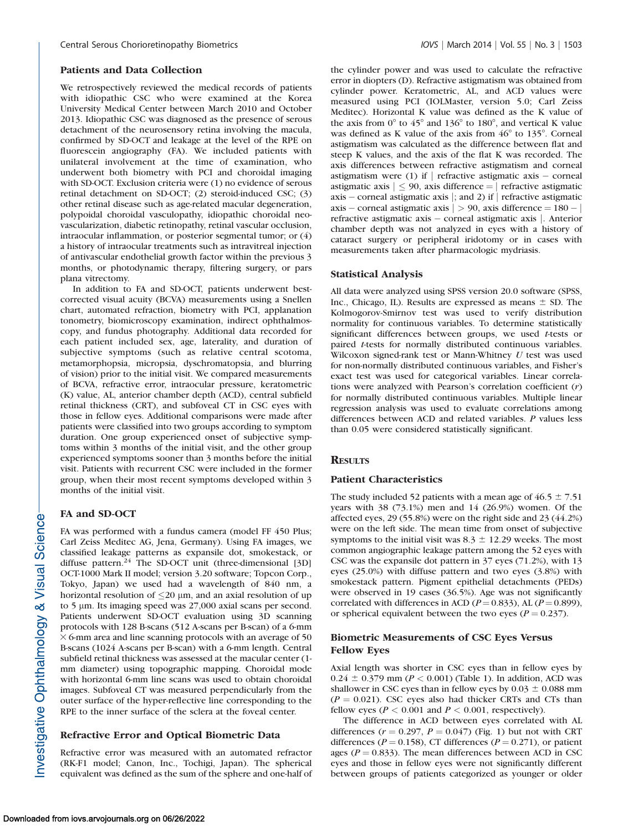# Patients and Data Collection

We retrospectively reviewed the medical records of patients with idiopathic CSC who were examined at the Korea University Medical Center between March 2010 and October 2013. Idiopathic CSC was diagnosed as the presence of serous detachment of the neurosensory retina involving the macula, confirmed by SD-OCT and leakage at the level of the RPE on fluorescein angiography (FA). We included patients with unilateral involvement at the time of examination, who underwent both biometry with PCI and choroidal imaging with SD-OCT. Exclusion criteria were (1) no evidence of serous retinal detachment on SD-OCT; (2) steroid-induced CSC; (3) other retinal disease such as age-related macular degeneration, polypoidal choroidal vasculopathy, idiopathic choroidal neovascularization, diabetic retinopathy, retinal vascular occlusion, intraocular inflammation, or posterior segmental tumor; or (4) a history of intraocular treatments such as intravitreal injection of antivascular endothelial growth factor within the previous 3 months, or photodynamic therapy, filtering surgery, or pars plana vitrectomy.

In addition to FA and SD-OCT, patients underwent bestcorrected visual acuity (BCVA) measurements using a Snellen chart, automated refraction, biometry with PCI, applanation tonometry, biomicroscopy examination, indirect ophthalmoscopy, and fundus photography. Additional data recorded for each patient included sex, age, laterality, and duration of subjective symptoms (such as relative central scotoma, metamorphopsia, micropsia, dyschromatopsia, and blurring of vision) prior to the initial visit. We compared measurements of BCVA, refractive error, intraocular pressure, keratometric (K) value, AL, anterior chamber depth (ACD), central subfield retinal thickness (CRT), and subfoveal CT in CSC eyes with those in fellow eyes. Additional comparisons were made after patients were classified into two groups according to symptom duration. One group experienced onset of subjective symptoms within 3 months of the initial visit, and the other group experienced symptoms sooner than 3 months before the initial visit. Patients with recurrent CSC were included in the former group, when their most recent symptoms developed within 3 months of the initial visit.

# FA and SD-OCT

FA was performed with a fundus camera (model FF 450 Plus; Carl Zeiss Meditec AG, Jena, Germany). Using FA images, we classified leakage patterns as expansile dot, smokestack, or diffuse pattern.<sup>24</sup> The SD-OCT unit (three-dimensional [3D] OCT-1000 Mark II model; version 3.20 software; Topcon Corp., Tokyo, Japan) we used had a wavelength of 840 nm, a horizontal resolution of  $\leq$ 20  $\mu$ m, and an axial resolution of up to 5 µm. Its imaging speed was 27,000 axial scans per second. Patients underwent SD-OCT evaluation using 3D scanning protocols with 128 B-scans (512 A-scans per B-scan) of a 6-mm  $\times$  6-mm area and line scanning protocols with an average of 50 B-scans (1024 A-scans per B-scan) with a 6-mm length. Central subfield retinal thickness was assessed at the macular center (1 mm diameter) using topographic mapping. Choroidal mode with horizontal 6-mm line scans was used to obtain choroidal images. Subfoveal CT was measured perpendicularly from the outer surface of the hyper-reflective line corresponding to the RPE to the inner surface of the sclera at the foveal center.

# Refractive Error and Optical Biometric Data

Refractive error was measured with an automated refractor (RK-F1 model; Canon, Inc., Tochigi, Japan). The spherical equivalent was defined as the sum of the sphere and one-half of the cylinder power and was used to calculate the refractive error in diopters (D). Refractive astigmatism was obtained from cylinder power. Keratometric, AL, and ACD values were measured using PCI (IOLMaster, version 5.0; Carl Zeiss Meditec). Horizontal K value was defined as the K value of the axis from  $0^{\circ}$  to  $45^{\circ}$  and  $136^{\circ}$  to  $180^{\circ}$ , and vertical K value was defined as K value of the axis from  $46^{\circ}$  to 135 $^{\circ}$ . Corneal astigmatism was calculated as the difference between flat and steep K values, and the axis of the flat K was recorded. The axis differences between refractive astigmatism and corneal astigmatism were (1) if  $\vert$  refractive astigmatic axis – corneal astigmatic axis  $| \leq 90$ , axis difference = | refractive astigmatic axis – corneal astigmatic axis  $\vert$ ; and 2) if  $\vert$  refractive astigmatic axis – corneal astigmatic axis  $|>90$ , axis difference  $=180-|$ refractive astigmatic axis – corneal astigmatic axis |. Anterior chamber depth was not analyzed in eyes with a history of cataract surgery or peripheral iridotomy or in cases with measurements taken after pharmacologic mydriasis.

## Statistical Analysis

All data were analyzed using SPSS version 20.0 software (SPSS, Inc., Chicago, IL). Results are expressed as means  $\pm$  SD. The Kolmogorov-Smirnov test was used to verify distribution normality for continuous variables. To determine statistically significant differences between groups, we used t-tests or paired t-tests for normally distributed continuous variables. Wilcoxon signed-rank test or Mann-Whitney  $U$  test was used for non-normally distributed continuous variables, and Fisher's exact test was used for categorical variables. Linear correlations were analyzed with Pearson's correlation coefficient (r) for normally distributed continuous variables. Multiple linear regression analysis was used to evaluate correlations among differences between ACD and related variables. P values less than 0.05 were considered statistically significant.

## **RESULTS**

# Patient Characteristics

The study included 52 patients with a mean age of  $46.5 \pm 7.51$ years with 38 (73.1%) men and 14 (26.9%) women. Of the affected eyes, 29 (55.8%) were on the right side and 23 (44.2%) were on the left side. The mean time from onset of subjective symptoms to the initial visit was  $8.3 \pm 12.29$  weeks. The most common angiographic leakage pattern among the 52 eyes with CSC was the expansile dot pattern in 37 eyes (71.2%), with 13 eyes (25.0%) with diffuse pattern and two eyes (3.8%) with smokestack pattern. Pigment epithelial detachments (PEDs) were observed in 19 cases (36.5%). Age was not significantly correlated with differences in ACD ( $P = 0.833$ ), AL ( $P = 0.899$ ), or spherical equivalent between the two eyes ( $P = 0.237$ ).

# Biometric Measurements of CSC Eyes Versus Fellow Eyes

Axial length was shorter in CSC eyes than in fellow eyes by  $0.24 \pm 0.379$  mm ( $P < 0.001$ ) (Table 1). In addition, ACD was shallower in CSC eyes than in fellow eyes by  $0.03 \pm 0.088$  mm  $(P = 0.021)$ . CSC eyes also had thicker CRTs and CTs than fellow eyes ( $P < 0.001$  and  $P < 0.001$ , respectively).

The difference in ACD between eyes correlated with AL differences  $(r = 0.297, P = 0.047)$  (Fig. 1) but not with CRT differences ( $P = 0.158$ ), CT differences ( $P = 0.271$ ), or patient ages ( $P = 0.833$ ). The mean differences between ACD in CSC eyes and those in fellow eyes were not significantly different between groups of patients categorized as younger or older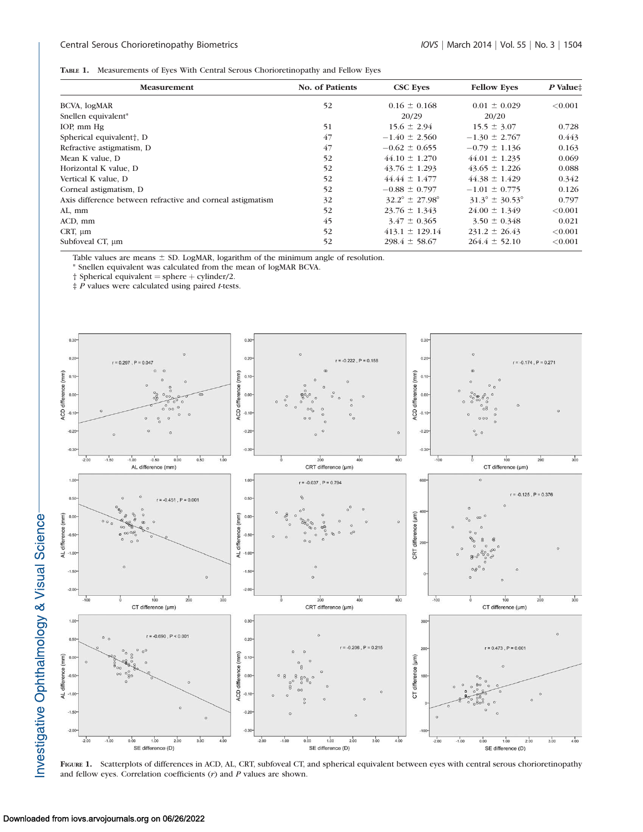## Central Serous Chorioretinopathy Biometrics **IOVS** j March 2014 | Vol. 55 | No. 3 | 1504

|  | TABLE 1. Measurements of Eyes With Central Serous Chorioretinopathy and Fellow Eyes |  |  |  |  |  |
|--|-------------------------------------------------------------------------------------|--|--|--|--|--|
|--|-------------------------------------------------------------------------------------|--|--|--|--|--|

| <b>Measurement</b>                                         | <b>No. of Patients</b> | <b>CSC Eves</b>                  | <b>Fellow Eves</b>               | $P$ Value $\ddagger$ |
|------------------------------------------------------------|------------------------|----------------------------------|----------------------------------|----------------------|
| BCVA, logMAR                                               | 52                     | $0.16 \pm 0.168$                 | $0.01 \pm 0.029$                 | < 0.001              |
| Snellen equivalent <sup>*</sup>                            |                        | 20/29                            | 20/20                            |                      |
| IOP, mm Hg                                                 | 51                     | $15.6 \pm 2.94$                  | $15.5 \pm 3.07$                  | 0.728                |
| Spherical equivalent <sup>†</sup> , D                      | 47                     | $-1.40 \pm 2.560$                | $-1.30 \pm 2.767$                | 0.443                |
| Refractive astigmatism, D                                  | 47                     | $-0.62 \pm 0.655$                | $-0.79 \pm 1.136$                | 0.163                |
| Mean K value, D                                            | 52                     | $44.10 \pm 1.270$                | $44.01 \pm 1.235$                | 0.069                |
| Horizontal K value, D                                      | 52                     | $43.76 \pm 1.293$                | $43.65 \pm 1.226$                | 0.088                |
| Vertical K value, D                                        | 52                     | $44.44 \pm 1.477$                | $44.38 \pm 1.429$                | 0.342                |
| Corneal astigmatism, D.                                    | 52                     | $-0.88 \pm 0.797$                | $-1.01 \pm 0.775$                | 0.126                |
| Axis difference between refractive and corneal astigmatism | 32                     | $32.2^{\circ} \pm 27.98^{\circ}$ | $31.3^{\circ} \pm 30.53^{\circ}$ | 0.797                |
| AL, mm                                                     | 52                     | $23.76 \pm 1.343$                | $24.00 \pm 1.349$                | < 0.001              |
| ACD, mm                                                    | 45                     | $3.47 \pm 0.365$                 | $3.50 \pm 0.348$                 | 0.021                |
| CRT, $\mu$ m                                               | 52                     | $413.1 \pm 129.14$               | $231.2 \pm 26.43$                | < 0.001              |
| Subfoveal CT, μm                                           | 52                     | $298.4 \pm 58.67$                | $264.4 \pm 52.10$                | < 0.001              |

Table values are means  $\pm$  SD. LogMAR, logarithm of the minimum angle of resolution.

\* Snellen equivalent was calculated from the mean of logMAR BCVA.

 $\dagger$  Spherical equivalent = sphere  $+$  cylinder/2.

 $\ddagger$  P values were calculated using paired t-tests.



FIGURE 1. Scatterplots of differences in ACD, AL, CRT, subfoveal CT, and spherical equivalent between eyes with central serous chorioretinopathy and fellow eyes. Correlation coefficients  $(r)$  and  $P$  values are shown.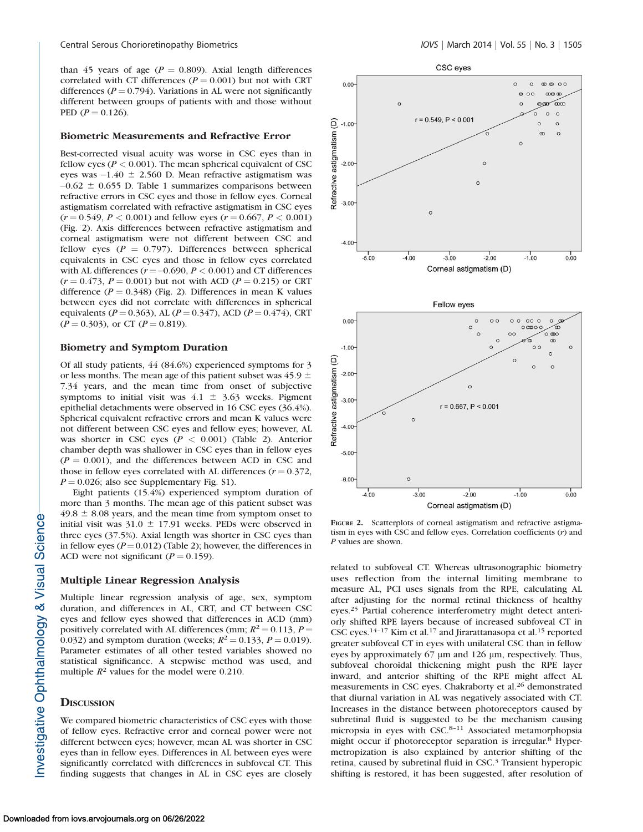than 45 years of age ( $P = 0.809$ ). Axial length differences correlated with CT differences ( $P = 0.001$ ) but not with CRT differences ( $P = 0.794$ ). Variations in AL were not significantly different between groups of patients with and those without PED  $(P = 0.126)$ .

#### Biometric Measurements and Refractive Error

Best-corrected visual acuity was worse in CSC eyes than in fellow eyes ( $P < 0.001$ ). The mean spherical equivalent of CSC eyes was  $-1.40 \pm 2.560$  D. Mean refractive astigmatism was  $-0.62 \pm 0.655$  D. Table 1 summarizes comparisons between refractive errors in CSC eyes and those in fellow eyes. Corneal astigmatism correlated with refractive astigmatism in CSC eyes  $(r = 0.549, P < 0.001)$  and fellow eyes  $(r = 0.667, P < 0.001)$ (Fig. 2). Axis differences between refractive astigmatism and corneal astigmatism were not different between CSC and fellow eyes ( $P = 0.797$ ). Differences between spherical equivalents in CSC eyes and those in fellow eyes correlated with AL differences  $(r = -0.690, P < 0.001)$  and CT differences  $(r = 0.473, P = 0.001)$  but not with ACD ( $P = 0.215$ ) or CRT difference ( $P = 0.348$ ) (Fig. 2). Differences in mean K values between eyes did not correlate with differences in spherical equivalents ( $P = 0.363$ ), AL ( $P = 0.347$ ), ACD ( $P = 0.474$ ), CRT  $(P = 0.303)$ , or CT  $(P = 0.819)$ .

## Biometry and Symptom Duration

Of all study patients, 44 (84.6%) experienced symptoms for 3 or less months. The mean age of this patient subset was 45.9  $\pm$ 7.34 years, and the mean time from onset of subjective symptoms to initial visit was  $4.1 \pm 3.63$  weeks. Pigment epithelial detachments were observed in 16 CSC eyes (36.4%). Spherical equivalent refractive errors and mean K values were not different between CSC eyes and fellow eyes; however, AL was shorter in CSC eyes ( $P < 0.001$ ) (Table 2). Anterior chamber depth was shallower in CSC eyes than in fellow eyes  $(P = 0.001)$ , and the differences between ACD in CSC and those in fellow eyes correlated with AL differences  $(r = 0.372)$ ,  $P = 0.026$ ; also see [Supplementary Fig. S1\)](http://www.iovs.org/content/55/3/1502/suppl/DC1).

Eight patients (15.4%) experienced symptom duration of more than 3 months. The mean age of this patient subset was  $49.8 \pm 8.08$  years, and the mean time from symptom onset to initial visit was  $31.0 \pm 17.91$  weeks. PEDs were observed in three eyes (37.5%). Axial length was shorter in CSC eyes than in fellow eyes ( $P = 0.012$ ) (Table 2); however, the differences in ACD were not significant ( $P = 0.159$ ).

#### Multiple Linear Regression Analysis

Multiple linear regression analysis of age, sex, symptom duration, and differences in AL, CRT, and CT between CSC eyes and fellow eyes showed that differences in ACD (mm) positively correlated with AL differences (mm;  $R^2 = 0.113$ ,  $P =$ 0.032) and symptom duration (weeks;  $R^2 = 0.133$ ,  $P = 0.019$ ). Parameter estimates of all other tested variables showed no statistical significance. A stepwise method was used, and multiple  $R^2$  values for the model were 0.210.

## **DISCUSSION**

We compared biometric characteristics of CSC eyes with those of fellow eyes. Refractive error and corneal power were not different between eyes; however, mean AL was shorter in CSC eyes than in fellow eyes. Differences in AL between eyes were significantly correlated with differences in subfoveal CT. This finding suggests that changes in AL in CSC eyes are closely



FIGURE 2. Scatterplots of corneal astigmatism and refractive astigmatism in eyes with CSC and fellow eyes. Correlation coefficients  $(r)$  and P values are shown.

related to subfoveal CT. Whereas ultrasonographic biometry uses reflection from the internal limiting membrane to measure AL, PCI uses signals from the RPE, calculating AL after adjusting for the normal retinal thickness of healthy eyes.<sup>25</sup> Partial coherence interferometry might detect anteriorly shifted RPE layers because of increased subfoveal CT in CSC eyes.14–17 Kim et al.<sup>17</sup> and Jirarattanasopa et al.<sup>15</sup> reported greater subfoveal CT in eyes with unilateral CSC than in fellow eyes by approximately  $67 \mu m$  and  $126 \mu m$ , respectively. Thus, subfoveal choroidal thickening might push the RPE layer inward, and anterior shifting of the RPE might affect AL measurements in CSC eyes. Chakraborty et al.<sup>26</sup> demonstrated that diurnal variation in AL was negatively associated with CT. Increases in the distance between photoreceptors caused by subretinal fluid is suggested to be the mechanism causing micropsia in eyes with CSC.<sup>8-11</sup> Associated metamorphopsia might occur if photoreceptor separation is irregular.<sup>8</sup> Hypermetropization is also explained by anterior shifting of the retina, caused by subretinal fluid in CSC.<sup>3</sup> Transient hyperopic shifting is restored, it has been suggested, after resolution of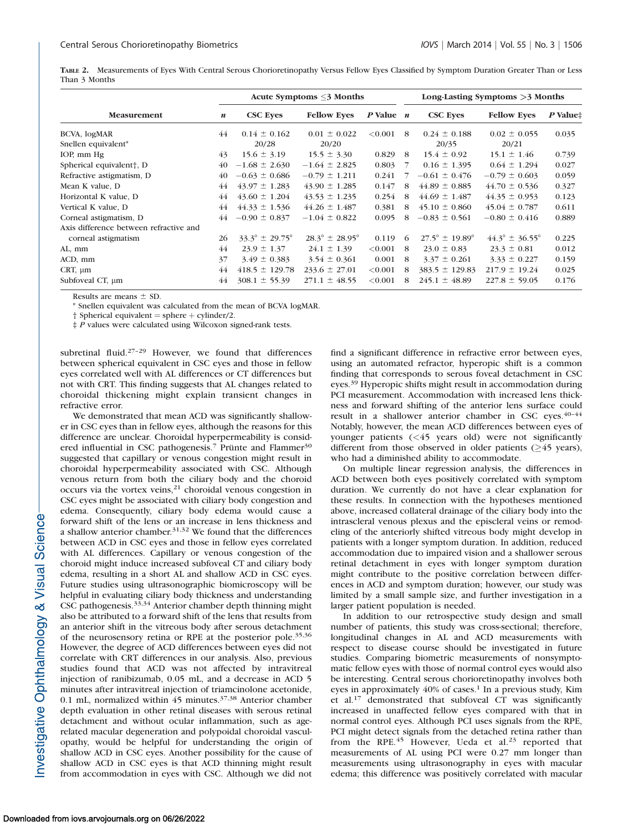TABLE 2. Measurements of Eyes With Central Serous Chorioretinopathy Versus Fellow Eyes Classified by Symptom Duration Greater Than or Less Than 3 Months

|                                        | Acute Symptoms $\leq$ Months |                                  |                                  |               | Long-Lasting Symptoms > 3 Months |                                  |                                  |          |
|----------------------------------------|------------------------------|----------------------------------|----------------------------------|---------------|----------------------------------|----------------------------------|----------------------------------|----------|
| <b>Measurement</b>                     |                              | <b>CSC Eyes</b>                  | <b>Fellow Eves</b>               | $P$ Value $n$ |                                  | <b>CSC Eyes</b>                  | <b>Fellow Eves</b>               | P Value# |
| BCVA, logMAR                           |                              | $0.14 \pm 0.162$                 | $0.01 \pm 0.022$                 | < 0.001       | 8                                | $0.24 \pm 0.188$                 | $0.02 \pm 0.055$                 | 0.035    |
| Snellen equivalent*                    |                              | 20/28                            | 20/20                            |               |                                  | 20/35                            | 20/21                            |          |
| IOP, mm Hg                             | 43                           | $15.6 \pm 3.19$                  | $15.5 \pm 3.30$                  | 0.829         | 8                                | $15.4 \pm 0.92$                  | $15.1 \pm 1.46$                  | 0.739    |
| Spherical equivalent <sup>†</sup> , D  | 40                           | $-1.68 \pm 2.630$                | $-1.64 \pm 2.825$                | 0.803         | 7                                | $0.16 \pm 1.395$                 | $0.64 \pm 1.294$                 | 0.027    |
| Refractive astigmatism, D              | 40                           | $-0.63 \pm 0.686$                | $-0.79 \pm 1.211$                | 0.241         |                                  | $-0.61 \pm 0.476$                | $-0.79 \pm 0.603$                | 0.059    |
| Mean K value, D                        | 44                           | $43.97 \pm 1.283$                | $43.90 \pm 1.285$                | 0.147         | 8                                | $44.89 \pm 0.885$                | $44.70 \pm 0.536$                | 0.327    |
| Horizontal K value, D                  | 44                           | $43.60 \pm 1.204$                | $43.53 \pm 1.235$                | 0.254         | 8                                | $44.69 \pm 1.487$                | $44.35 \pm 0.953$                | 0.123    |
| Vertical K value, D                    | 44                           | $44.33 \pm 1.536$                | $44.26 \pm 1.487$                | 0.381         | 8                                | $45.10 \pm 0.860$                | $45.04 \pm 0.787$                | 0.611    |
| Corneal astigmatism, D                 | 44                           | $-0.90 \pm 0.837$                | $-1.04 \pm 0.822$                | 0.095         | 8                                | $-0.83 \pm 0.561$                | $-0.80 \pm 0.416$                | 0.889    |
| Axis difference between refractive and |                              |                                  |                                  |               |                                  |                                  |                                  |          |
| corneal astigmatism                    | 26                           | $33.3^{\circ} \pm 29.75^{\circ}$ | $28.3^{\circ} \pm 28.95^{\circ}$ | 0.119         | 6                                | $27.5^{\circ} \pm 19.89^{\circ}$ | $44.3^{\circ} \pm 36.55^{\circ}$ | 0.225    |
| AL, mm                                 | 44                           | $23.9 \pm 1.37$                  | $24.1 \pm 1.39$                  | < 0.001       | 8                                | $23.0 \pm 0.83$                  | $23.3 \pm 0.81$                  | 0.012    |
| ACD, mm                                | 37                           | $3.49 \pm 0.383$                 | $3.54 \pm 0.361$                 | 0.001         | 8                                | $3.37 \pm 0.261$                 | $3.33 \pm 0.227$                 | 0.159    |
| CRT, $\mu$ m                           | 44                           | $418.5 \pm 129.78$               | $233.6 \pm 27.01$                | < 0.001       | 8                                | $383.5 \pm 129.83$               | $217.9 \pm 19.24$                | 0.025    |
| Subfoveal CT, um                       | 44                           | $308.1 \pm 55.39$                | $271.1 \pm 48.55$                | < 0.001       | 8                                | $245.1 \pm 48.89$                | $227.8 \pm 59.05$                | 0.176    |

Results are means  $\pm$  SD.

Snellen equivalent was calculated from the mean of BCVA logMAR.

 $\dagger$  Spherical equivalent = sphere  $+$  cylinder/2.

 $\frac{1}{k}$  P values were calculated using Wilcoxon signed-rank tests.

subretinal fluid.<sup>27-29</sup> However, we found that differences between spherical equivalent in CSC eyes and those in fellow eyes correlated well with AL differences or CT differences but not with CRT. This finding suggests that AL changes related to choroidal thickening might explain transient changes in refractive error.

We demonstrated that mean ACD was significantly shallower in CSC eyes than in fellow eyes, although the reasons for this difference are unclear. Choroidal hyperpermeability is considered influential in CSC pathogenesis.<sup>7</sup> Prünte and Flammer<sup>30</sup> suggested that capillary or venous congestion might result in choroidal hyperpermeability associated with CSC. Although venous return from both the ciliary body and the choroid occurs via the vortex veins,<sup>21</sup> choroidal venous congestion in CSC eyes might be associated with ciliary body congestion and edema. Consequently, ciliary body edema would cause a forward shift of the lens or an increase in lens thickness and a shallow anterior chamber.<sup>31,32</sup> We found that the differences between ACD in CSC eyes and those in fellow eyes correlated with AL differences. Capillary or venous congestion of the choroid might induce increased subfoveal CT and ciliary body edema, resulting in a short AL and shallow ACD in CSC eyes. Future studies using ultrasonographic biomicroscopy will be helpful in evaluating ciliary body thickness and understanding CSC pathogenesis.33,34 Anterior chamber depth thinning might also be attributed to a forward shift of the lens that results from an anterior shift in the vitreous body after serous detachment of the neurosensory retina or RPE at the posterior pole.<sup>35,36</sup> However, the degree of ACD differences between eyes did not correlate with CRT differences in our analysis. Also, previous studies found that ACD was not affected by intravitreal injection of ranibizumab, 0.05 mL, and a decrease in ACD 5 minutes after intravitreal injection of triamcinolone acetonide, 0.1 mL, normalized within 45 minutes.37,38 Anterior chamber depth evaluation in other retinal diseases with serous retinal detachment and without ocular inflammation, such as agerelated macular degeneration and polypoidal choroidal vasculopathy, would be helpful for understanding the origin of shallow ACD in CSC eyes. Another possibility for the cause of shallow ACD in CSC eyes is that ACD thinning might result from accommodation in eyes with CSC. Although we did not

find a significant difference in refractive error between eyes, using an automated refractor, hyperopic shift is a common finding that corresponds to serous foveal detachment in CSC eyes.<sup>39</sup> Hyperopic shifts might result in accommodation during PCI measurement. Accommodation with increased lens thickness and forward shifting of the anterior lens surface could result in a shallower anterior chamber in CSC eyes.  $40-44$ Notably, however, the mean ACD differences between eyes of younger patients (<45 years old) were not significantly different from those observed in older patients  $($ >45 years), who had a diminished ability to accommodate.

On multiple linear regression analysis, the differences in ACD between both eyes positively correlated with symptom duration. We currently do not have a clear explanation for these results. In connection with the hypotheses mentioned above, increased collateral drainage of the ciliary body into the intrascleral venous plexus and the episcleral veins or remodeling of the anteriorly shifted vitreous body might develop in patients with a longer symptom duration. In addition, reduced accommodation due to impaired vision and a shallower serous retinal detachment in eyes with longer symptom duration might contribute to the positive correlation between differences in ACD and symptom duration; however, our study was limited by a small sample size, and further investigation in a larger patient population is needed.

In addition to our retrospective study design and small number of patients, this study was cross-sectional; therefore, longitudinal changes in AL and ACD measurements with respect to disease course should be investigated in future studies. Comparing biometric measurements of nonsymptomatic fellow eyes with those of normal control eyes would also be interesting. Central serous chorioretinopathy involves both eyes in approximately  $40\%$  of cases.<sup>1</sup> In a previous study, Kim et al.<sup>17</sup> demonstrated that subfoveal CT was significantly increased in unaffected fellow eyes compared with that in normal control eyes. Although PCI uses signals from the RPE, PCI might detect signals from the detached retina rather than from the RPE.<sup>45</sup> However, Ueda et al.<sup>23</sup> reported that measurements of AL using PCI were 0.27 mm longer than measurements using ultrasonography in eyes with macular edema; this difference was positively correlated with macular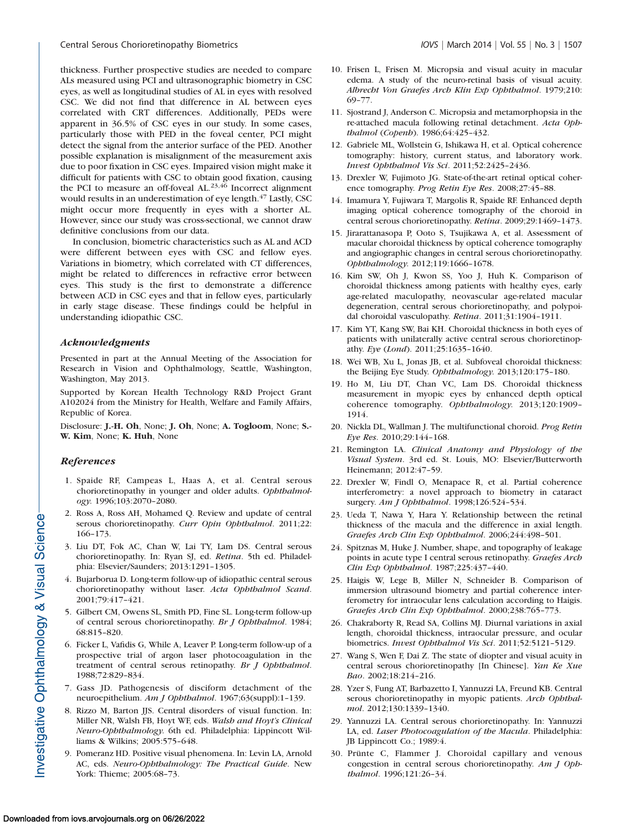thickness. Further prospective studies are needed to compare ALs measured using PCI and ultrasonographic biometry in CSC eyes, as well as longitudinal studies of AL in eyes with resolved CSC. We did not find that difference in AL between eyes correlated with CRT differences. Additionally, PEDs were apparent in 36.5% of CSC eyes in our study. In some cases, particularly those with PED in the foveal center, PCI might detect the signal from the anterior surface of the PED. Another possible explanation is misalignment of the measurement axis due to poor fixation in CSC eyes. Impaired vision might make it difficult for patients with CSC to obtain good fixation, causing the PCI to measure an off-foveal AL. $23,46$  Incorrect alignment would results in an underestimation of eye length.<sup>47</sup> Lastly, CSC might occur more frequently in eyes with a shorter AL. However, since our study was cross-sectional, we cannot draw definitive conclusions from our data.

In conclusion, biometric characteristics such as AL and ACD were different between eyes with CSC and fellow eyes. Variations in biometry, which correlated with CT differences, might be related to differences in refractive error between eyes. This study is the first to demonstrate a difference between ACD in CSC eyes and that in fellow eyes, particularly in early stage disease. These findings could be helpful in understanding idiopathic CSC.

### Acknowledgments

Presented in part at the Annual Meeting of the Association for Research in Vision and Ophthalmology, Seattle, Washington, Washington, May 2013.

Supported by Korean Health Technology R&D Project Grant A102024 from the Ministry for Health, Welfare and Family Affairs, Republic of Korea.

Disclosure: J.-H. Oh, None; J. Oh, None; A. Togloom, None; S.- W. Kim, None; K. Huh, None

### **References**

- 1. Spaide RF, Campeas L, Haas A, et al. Central serous chorioretinopathy in younger and older adults. Ophthalmology. 1996;103:2070–2080.
- 2. Ross A, Ross AH, Mohamed Q. Review and update of central serous chorioretinopathy. Curr Opin Ophthalmol. 2011;22: 166–173.
- 3. Liu DT, Fok AC, Chan W, Lai TY, Lam DS. Central serous chorioretinopathy. In: Ryan SJ, ed. Retina. 5th ed. Philadelphia: Elsevier/Saunders; 2013:1291–1305.
- 4. Bujarborua D. Long-term follow-up of idiopathic central serous chorioretinopathy without laser. Acta Ophthalmol Scand. 2001;79:417–421.
- 5. Gilbert CM, Owens SL, Smith PD, Fine SL. Long-term follow-up of central serous chorioretinopathy. Br J Ophthalmol. 1984; 68:815–820.
- 6. Ficker L, Vafidis G, While A, Leaver P. Long-term follow-up of a prospective trial of argon laser photocoagulation in the treatment of central serous retinopathy. Br J Ophthalmol. 1988;72:829–834.
- 7. Gass JD. Pathogenesis of disciform detachment of the neuroepithelium. Am J Ophthalmol. 1967;63(suppl):1–139.
- 8. Rizzo M, Barton JJS. Central disorders of visual function. In: Miller NR, Walsh FB, Hoyt WF, eds. Walsh and Hoyt's Clinical Neuro-Ophthalmology. 6th ed. Philadelphia: Lippincott Williams & Wilkins; 2005:575–648.
- 9. Pomeranz HD. Positive visual phenomena. In: Levin LA, Arnold AC, eds. Neuro-Ophthalmology: The Practical Guide. New York: Thieme; 2005:68–73.
- 10. Frisen L, Frisen M. Micropsia and visual acuity in macular edema. A study of the neuro-retinal basis of visual acuity. Albrecht Von Graefes Arch Klin Exp Ophthalmol. 1979;210: 69–77.
- 11. Sjostrand J, Anderson C. Micropsia and metamorphopsia in the re-attached macula following retinal detachment. Acta Ophthalmol (Copenh). 1986;64:425-432.
- 12. Gabriele ML, Wollstein G, Ishikawa H, et al. Optical coherence tomography: history, current status, and laboratory work. Invest Ophthalmol Vis Sci. 2011;52:2425–2436.
- 13. Drexler W, Fujimoto JG. State-of-the-art retinal optical coherence tomography. Prog Retin Eye Res. 2008;27:45–88.
- 14. Imamura Y, Fujiwara T, Margolis R, Spaide RF. Enhanced depth imaging optical coherence tomography of the choroid in central serous chorioretinopathy. Retina. 2009;29:1469–1473.
- 15. Jirarattanasopa P, Ooto S, Tsujikawa A, et al. Assessment of macular choroidal thickness by optical coherence tomography and angiographic changes in central serous chorioretinopathy. Ophthalmology. 2012;119:1666–1678.
- 16. Kim SW, Oh J, Kwon SS, Yoo J, Huh K. Comparison of choroidal thickness among patients with healthy eyes, early age-related maculopathy, neovascular age-related macular degeneration, central serous chorioretinopathy, and polypoidal choroidal vasculopathy. Retina. 2011;31:1904–1911.
- 17. Kim YT, Kang SW, Bai KH. Choroidal thickness in both eyes of patients with unilaterally active central serous chorioretinopathy. Eye (Lond). 2011;25:1635–1640.
- 18. Wei WB, Xu L, Jonas JB, et al. Subfoveal choroidal thickness: the Beijing Eye Study. Ophthalmology. 2013;120:175–180.
- 19. Ho M, Liu DT, Chan VC, Lam DS. Choroidal thickness measurement in myopic eyes by enhanced depth optical coherence tomography. Ophthalmology. 2013;120:1909– 1914.
- 20. Nickla DL, Wallman J. The multifunctional choroid. Prog Retin Eye Res. 2010;29:144–168.
- 21. Remington LA. Clinical Anatomy and Physiology of the Visual System. 3rd ed. St. Louis, MO: Elsevier/Butterworth Heinemann; 2012:47–59.
- 22. Drexler W, Findl O, Menapace R, et al. Partial coherence interferometry: a novel approach to biometry in cataract surgery. Am J Ophthalmol. 1998;126:524-534.
- 23. Ueda T, Nawa Y, Hara Y. Relationship between the retinal thickness of the macula and the difference in axial length. Graefes Arch Clin Exp Ophthalmol. 2006;244:498–501.
- 24. Spitznas M, Huke J. Number, shape, and topography of leakage points in acute type I central serous retinopathy. Graefes Arch Clin Exp Ophthalmol. 1987;225:437–440.
- 25. Haigis W, Lege B, Miller N, Schneider B. Comparison of immersion ultrasound biometry and partial coherence interferometry for intraocular lens calculation according to Haigis. Graefes Arch Clin Exp Ophthalmol. 2000;238:765–773.
- 26. Chakraborty R, Read SA, Collins MJ. Diurnal variations in axial length, choroidal thickness, intraocular pressure, and ocular biometrics. Invest Ophthalmol Vis Sci. 2011;52:5121–5129.
- 27. Wang S, Wen F, Dai Z. The state of diopter and visual acuity in central serous chorioretinopathy [In Chinese]. Yan Ke Xue Bao. 2002;18:214–216.
- 28. Yzer S, Fung AT, Barbazetto I, Yannuzzi LA, Freund KB. Central serous chorioretinopathy in myopic patients. Arch Ophthalmol. 2012;130:1339–1340.
- 29. Yannuzzi LA. Central serous chorioretinopathy. In: Yannuzzi LA, ed. Laser Photocoagulation of the Macula. Philadelphia: JB Lippincott Co.; 1989:4.
- 30. Prünte C, Flammer J. Choroidal capillary and venous congestion in central serous chorioretinopathy. Am J Ophthalmol. 1996;121:26–34.